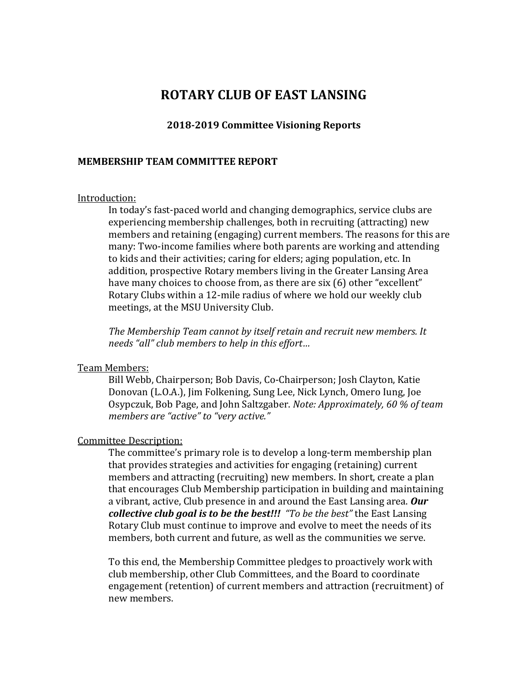# **ROTARY CLUB OF EAST LANSING**

### **2018-2019 Committee Visioning Reports**

### **MEMBERSHIP TEAM COMMITTEE REPORT**

#### Introduction:

In today's fast-paced world and changing demographics, service clubs are experiencing membership challenges, both in recruiting (attracting) new members and retaining (engaging) current members. The reasons for this are many: Two-income families where both parents are working and attending to kids and their activities; caring for elders; aging population, etc. In addition, prospective Rotary members living in the Greater Lansing Area have many choices to choose from, as there are six (6) other "excellent" Rotary Clubs within a 12-mile radius of where we hold our weekly club meetings, at the MSU University Club.

*The Membership Team cannot by itself retain and recruit new members. It needs "all" club members to help in this effort…*

#### Team Members:

Bill Webb, Chairperson; Bob Davis, Co-Chairperson; Josh Clayton, Katie Donovan (L.O.A.), Jim Folkening, Sung Lee, Nick Lynch, Omero Iung, Joe Osypczuk, Bob Page, and John Saltzgaber. *Note: Approximately, 60 % of team members are "active" to "very active."*

#### Committee Description:

The committee's primary role is to develop a long-term membership plan that provides strategies and activities for engaging (retaining) current members and attracting (recruiting) new members. In short, create a plan that encourages Club Membership participation in building and maintaining a vibrant, active, Club presence in and around the East Lansing area. *Our collective club goal is to be the best!!! "To be the best"* the East Lansing Rotary Club must continue to improve and evolve to meet the needs of its members, both current and future, as well as the communities we serve.

To this end, the Membership Committee pledges to proactively work with club membership, other Club Committees, and the Board to coordinate engagement (retention) of current members and attraction (recruitment) of new members.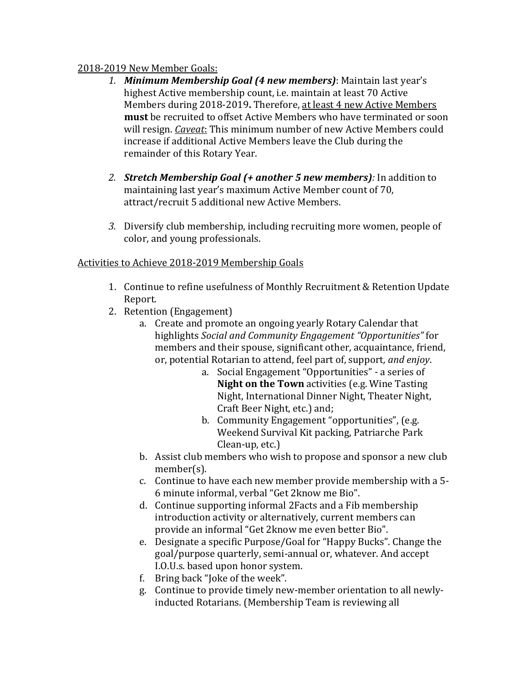# 2018-2019 New Member Goals:

- *1. Minimum Membership Goal (4 new members)*: Maintain last year's highest Active membership count, i.e. maintain at least 70 Active Members during 2018-2019**.** Therefore, at least 4 new Active Members **must** be recruited to offset Active Members who have terminated or soon will resign. *Caveat*: This minimum number of new Active Members could increase if additional Active Members leave the Club during the remainder of this Rotary Year.
- *2. Stretch Membership Goal (+ another 5 new members):* In addition to maintaining last year's maximum Active Member count of 70, attract/recruit 5 additional new Active Members.
- *3.* Diversify club membership, including recruiting more women, people of color, and young professionals.

# Activities to Achieve 2018-2019 Membership Goals

- 1. Continue to refine usefulness of Monthly Recruitment & Retention Update Report.
- 2. Retention (Engagement)
	- a. Create and promote an ongoing yearly Rotary Calendar that highlights *Social and Community Engagement "Opportunities"* for members and their spouse, significant other, acquaintance, friend, or, potential Rotarian to attend, feel part of, support*, and enjoy*.
		- a. Social Engagement "Opportunities" a series of **Night on the Town** activities (e.g. Wine Tasting Night, International Dinner Night, Theater Night, Craft Beer Night, etc.) and;
		- b. Community Engagement "opportunities", (e.g. Weekend Survival Kit packing, Patriarche Park Clean-up, etc.)
	- b. Assist club members who wish to propose and sponsor a new club member(s).
	- c. Continue to have each new member provide membership with a 5- 6 minute informal, verbal "Get 2know me Bio".
	- d. Continue supporting informal 2Facts and a Fib membership introduction activity or alternatively, current members can provide an informal "Get 2know me even better Bio".
	- e. Designate a specific Purpose/Goal for "Happy Bucks". Change the goal/purpose quarterly, semi-annual or, whatever. And accept I.O.U.s. based upon honor system.
	- f. Bring back "Joke of the week".
	- g. Continue to provide timely new-member orientation to all newlyinducted Rotarians. (Membership Team is reviewing all